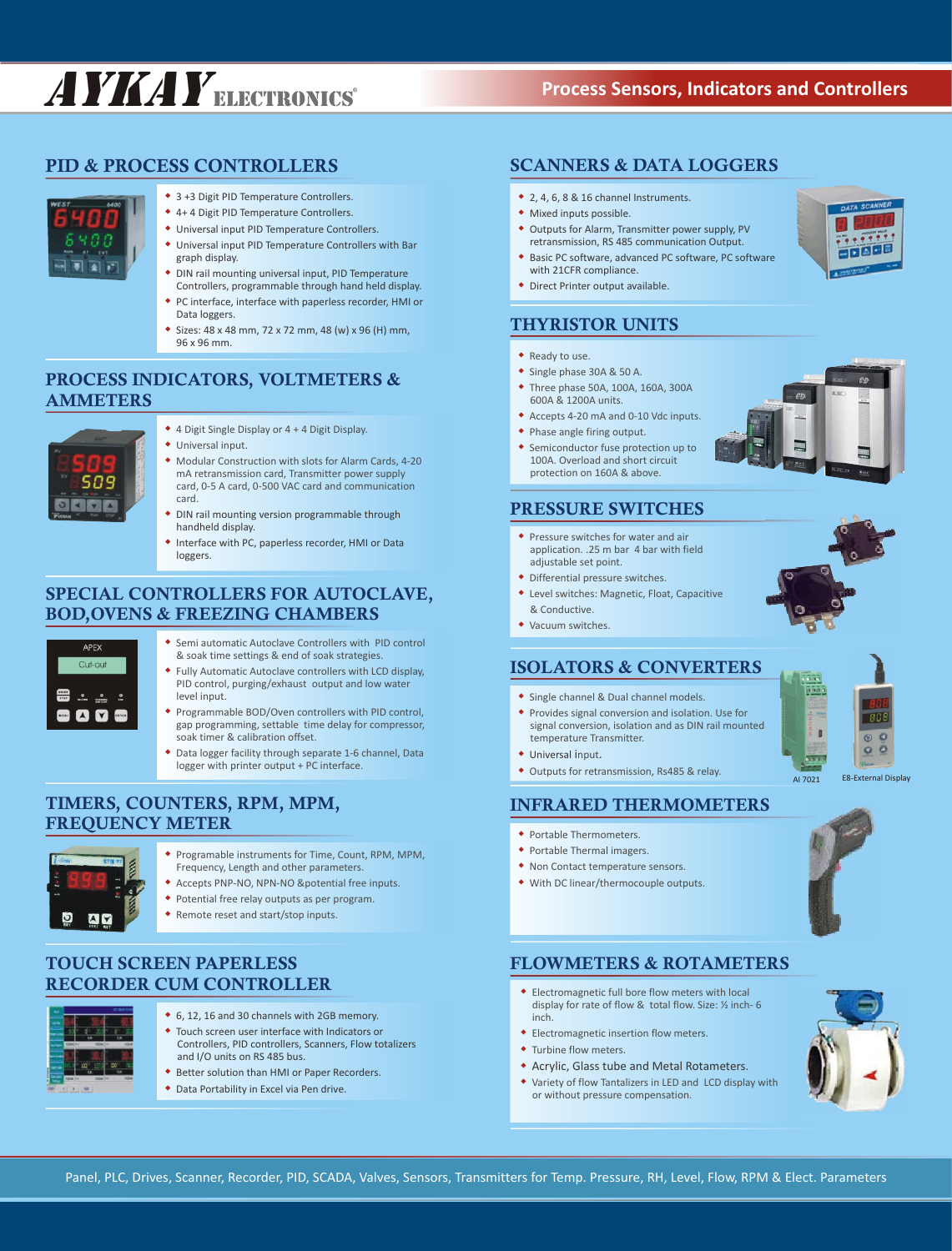# AYKAYELECTRONICS **Process Sensors, Indicators and Controllers**

### **PID & PROCESS CONTROLLERS**



- 3 +3 Digit PID Temperature Controllers.
- ◆ 4+4 Digit PID Temperature Controllers.
- $\bullet$  Universal input PID Temperature Controllers.
- $\bullet$  Universal input PID Temperature Controllers with Bar graph display.
- DIN rail mounting universal input, PID Temperature Controllers, programmable through hand held display.
- PC interface, interface with paperless recorder, HMI or Data loggers.
- w Sizes: 48 x 48 mm, 72 x 72 mm, 48 (w) x 96 (H) mm, 96 x 96 mm.

### **PROCESS INDICATORS, VOLTMETERS & AMMETERS**



- ◆ 4 Digit Single Display or 4 + 4 Digit Display.
- $\bullet$  Universal input.
- $\bullet$  Modular Construction with slots for Alarm Cards, 4-20 mA retransmission card, Transmitter power supply card, 0-5 A card, 0-500 VAC card and communication card.
- DIN rail mounting version programmable through handheld display.
- $\bullet$  Interface with PC, paperless recorder, HMI or Data loggers.

# **SPECIAL CONTROLLERS FOR AUTOCLAVE, BOD,OVENS & FREEZING CHAMBERS**



- **\*** Semi automatic Autoclave Controllers with PID control • Fully Automatic Autoclave controllers with LCD display, & soak time settings & end of soak strategies. PID control, purging/exhaust output and low water
- Programmable BOD/Oven controllers with PID control, level input. gap programming, settable time delay for compressor, soak timer & calibration offset.
- $\bullet$  Data logger facility through separate 1-6 channel, Data logger with printer output + PC interface.

# **TIMERS, COUNTERS, RPM, MPM, FREQUENCY METER**



- Programable instruments for Time, Count, RPM, MPM, Frequency, Length and other parameters.
- **\*** Accepts PNP-NO, NPN-NO &potential free inputs.
- Potential free relay outputs as per program.
- Remote reset and start/stop inputs.

# **TOUCH SCREEN PAPERLESS RECORDER CUM CONTROLLER**



- ◆ 6, 12, 16 and 30 channels with 2GB memory.
- $\bullet$  Touch screen user interface with Indicators or Controllers, PID controllers, Scanners, Flow totalizers and I/O units on RS 485 bus.
- **\*** Better solution than HMI or Paper Recorders.
- Data Portability in Excel via Pen drive.

### **SCANNERS & DATA LOGGERS**

- $*$  2, 4, 6, 8 & 16 channel Instruments.
- Mixed inputs possible.
- Outputs for Alarm, Transmitter power supply, PV retransmission, RS 485 communication Output.
- ◆ Basic PC software, advanced PC software, PC software with 21CFR compliance.
- Direct Printer output available.

# **THYRISTOR UNITS**

- Ready to use.
- ◆ Single phase 30A & 50 A.
- Three phase 50A, 100A, 160A, 300A 600A & 1200A units.
- w Accepts 4-20 mA and 0-10 Vdc inputs.
- Phase angle firing output.
- Semiconductor fuse protection up to 100A. Overload and short circuit protection on 160A & above.

### **PRESSURE SWITCHES**

- $\bullet$  Pressure switches for water and air application. .25 m bar 4 bar with field adjustable set point.
- Differential pressure switches.
- Level switches: Magnetic, Float, Capacitive & Conductive.
- Vacuum switches.

### **ISOLATORS & CONVERTERS**

- **\*** Single channel & Dual channel models.
- Provides signal conversion and isolation. Use for signal conversion, isolation and as DIN rail mounted temperature Transmitter.
- Universal input.
- Outputs for retransmission, Rs485 & relay.

### **INFRARED THERMOMETERS**

- Portable Thermometers.
- Portable Thermal imagers.
- Non Contact temperature sensors.
- w With DC linear/thermocouple outputs.



AI 7021 E8-External Display

 $\epsilon$  $\circ$  $Q$  $Q$ 

 $\mathbf{I}$ 

### **FLOWMETERS & ROTAMETERS**

- w Electromagnetic full bore flow meters with local display for rate of flow & total flow. Size: ½ inch- 6 inch.
- Electromagnetic insertion flow meters.
- Turbine flow meters.
- **\*** Acrylic, Glass tube and Metal Rotameters.
- Variety of flow Tantalizers in LED and LCD display with or without pressure compensation.